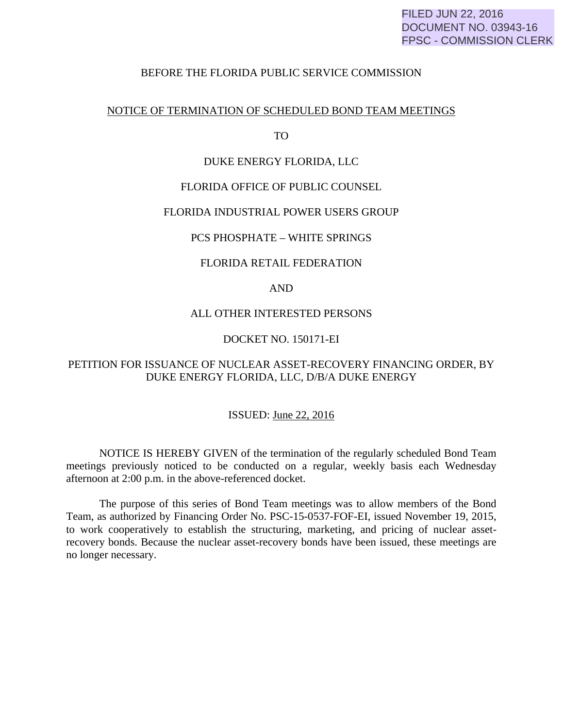## BEFORE THE FLORIDA PUBLIC SERVICE COMMISSION

## NOTICE OF TERMINATION OF SCHEDULED BOND TEAM MEETINGS

TO

## DUKE ENERGY FLORIDA, LLC

## FLORIDA OFFICE OF PUBLIC COUNSEL

### FLORIDA INDUSTRIAL POWER USERS GROUP

## PCS PHOSPHATE – WHITE SPRINGS

## FLORIDA RETAIL FEDERATION

#### AND

### ALL OTHER INTERESTED PERSONS

## DOCKET NO. 150171-EI

# PETITION FOR ISSUANCE OF NUCLEAR ASSET-RECOVERY FINANCING ORDER, BY DUKE ENERGY FLORIDA, LLC, D/B/A DUKE ENERGY

### ISSUED: June 22, 2016

 NOTICE IS HEREBY GIVEN of the termination of the regularly scheduled Bond Team meetings previously noticed to be conducted on a regular, weekly basis each Wednesday afternoon at 2:00 p.m. in the above-referenced docket.

 The purpose of this series of Bond Team meetings was to allow members of the Bond Team, as authorized by Financing Order No. PSC-15-0537-FOF-EI, issued November 19, 2015, to work cooperatively to establish the structuring, marketing, and pricing of nuclear assetrecovery bonds. Because the nuclear asset-recovery bonds have been issued, these meetings are no longer necessary.